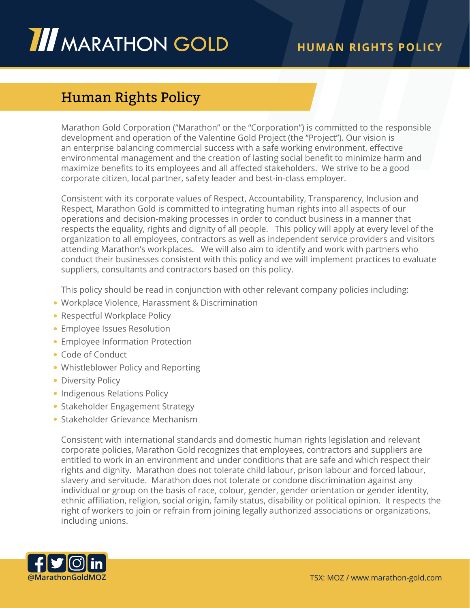## **III** MARATHON GOLD

## Human Rights Policy

Marathon Gold Corporation ("Marathon" or the "Corporation") is committed to the responsible development and operation of the Valentine Gold Project (the "Project"). Our vision is an enterprise balancing commercial success with a safe working environment, effective environmental management and the creation of lasting social benefit to minimize harm and maximize benefits to its employees and all affected stakeholders. We strive to be a good corporate citizen, local partner, safety leader and best-in-class employer.

Consistent with its corporate values of Respect, Accountability, Transparency, Inclusion and Respect, Marathon Gold is committed to integrating human rights into all aspects of our operations and decision-making processes in order to conduct business in a manner that respects the equality, rights and dignity of all people. This policy will apply at every level of the organization to all employees, contractors as well as independent service providers and visitors attending Marathon's workplaces. We will also aim to identify and work with partners who conduct their businesses consistent with this policy and we will implement practices to evaluate suppliers, consultants and contractors based on this policy.

This policy should be read in conjunction with other relevant company policies including:

- Workplace Violence, Harassment & Discrimination
- Respectful Workplace Policy
- Employee Issues Resolution
- Employee Information Protection
- Code of Conduct
- Whistleblower Policy and Reporting
- Diversity Policy
- Indigenous Relations Policy
- Stakeholder Engagement Strategy
- Stakeholder Grievance Mechanism

Consistent with international standards and domestic human rights legislation and relevant corporate policies, Marathon Gold recognizes that employees, contractors and suppliers are entitled to work in an environment and under conditions that are safe and which respect their rights and dignity. Marathon does not tolerate child labour, prison labour and forced labour, slavery and servitude. Marathon does not tolerate or condone discrimination against any individual or group on the basis of race, colour, gender, gender orientation or gender identity, ethnic affiliation, religion, social origin, family status, disability or political opinion. It respects the right of workers to join or refrain from joining legally authorized associations or organizations, including unions.